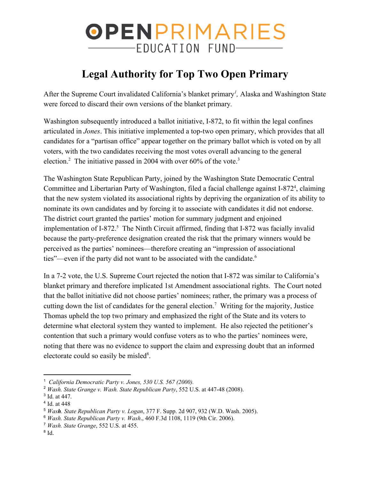## OPENPRIMARIES -EDUCATION FUND-

## **Legal Authority for Top Two Open Primary**

After the Supreme Court invalidated California's blanket primary *,* Alaska and Washington State *<sup>1</sup>* were forced to discard their own versions of the blanket primary*.*

Washington subsequently introduced a ballot initiative, I-872, to fit within the legal confines articulated in *Jones*. This initiative implemented a top-two open primary, which provides that all candidates for a "partisan office" appear together on the primary ballot which is voted on by all voters, with the two candidates receiving the most votes overall advancing to the general election.<sup>2</sup> The initiative passed in 2004 with over  $60\%$  of the vote.<sup>3</sup>

The Washington State Republican Party, joined by the Washington State Democratic Central Committee and Libertarian Party of Washington, filed a facial challenge against I-872<sup>4</sup>, claiming that the new system violated its associational rights by depriving the organization of its ability to nominate its own candidates and by forcing it to associate with candidates it did not endorse. The district court granted the parties' motion for summary judgment and enjoined implementation of I-872. $\frac{5}{10}$  The Ninth Circuit affirmed, finding that I-872 was facially invalid because the party-preference designation created the risk that the primary winners would be perceived as the parties' nominees—therefore creating an "impression of associational ties"—even if the party did not want to be associated with the candidate.<sup>6</sup>

In a 7-2 vote, the U.S. Supreme Court rejected the notion that I-872 was similar to California's blanket primary and therefore implicated 1st Amendment associational rights. The Court noted that the ballot initiative did not choose parties' nominees; rather, the primary was a process of cutting down the list of candidates for the general election.<sup>7</sup> Writing for the majority, Justice Thomas upheld the top two primary and emphasized the right of the State and its voters to determine what electoral system they wanted to implement. He also rejected the petitioner's contention that such a primary would confuse voters as to who the parties' nominees were, noting that there was no evidence to support the claim and expressing doubt that an informed electorate could so easily be misled<sup>8</sup>.

<sup>1</sup> *California Democratic Party v. Jones, 530 U.S. 567 (2000).*

<sup>2</sup> *Wash. State Grange v. Wash. State Republican Party*, 552 U.S. at 447-48 (2008).

<sup>3</sup> Id. at 447.

<sup>4</sup> Id. at 448

<sup>5</sup> *Wash. State Republican Party v. Logan*, 377 F. Supp. 2d 907, 932 (W.D. Wash. 2005).

<sup>6</sup> *Wash. State Republican Party v. Wash*., 460 F.3d 1108, 1119 (9th Cir. 2006).

<sup>7</sup> *Wash. State Grange*, 552 U.S. at 455.

<sup>8</sup> Id.